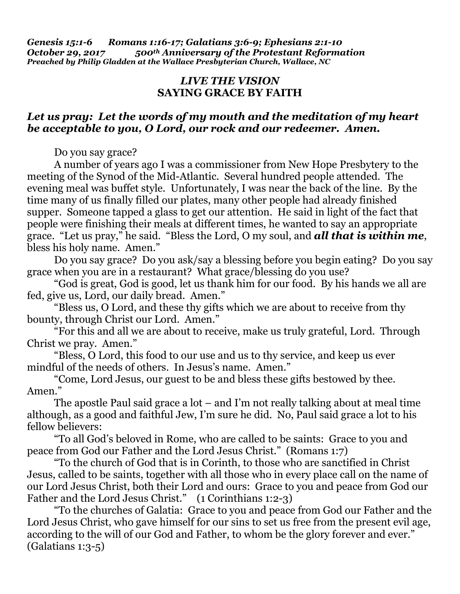*Genesis 15:1-6 Romans 1:16-17; Galatians 3:6-9; Ephesians 2:1-10 October 29, 2017 500th Anniversary of the Protestant Reformation Preached by Philip Gladden at the Wallace Presbyterian Church, Wallace, NC*

## *LIVE THE VISION* **SAYING GRACE BY FAITH**

## *Let us pray: Let the words of my mouth and the meditation of my heart be acceptable to you, O Lord, our rock and our redeemer. Amen.*

Do you say grace?

A number of years ago I was a commissioner from New Hope Presbytery to the meeting of the Synod of the Mid-Atlantic. Several hundred people attended. The evening meal was buffet style. Unfortunately, I was near the back of the line. By the time many of us finally filled our plates, many other people had already finished supper. Someone tapped a glass to get our attention. He said in light of the fact that people were finishing their meals at different times, he wanted to say an appropriate grace. "Let us pray," he said. "Bless the Lord, O my soul, and *all that is within me*, bless his holy name. Amen."

Do you say grace? Do you ask/say a blessing before you begin eating? Do you say grace when you are in a restaurant? What grace/blessing do you use?

"God is great, God is good, let us thank him for our food. By his hands we all are fed, give us, Lord, our daily bread. Amen."

"Bless us, O Lord, and these thy gifts which we are about to receive from thy bounty, through Christ our Lord. Amen."

"For this and all we are about to receive, make us truly grateful, Lord. Through Christ we pray. Amen."

"Bless, O Lord, this food to our use and us to thy service, and keep us ever mindful of the needs of others. In Jesus's name. Amen."

"Come, Lord Jesus, our guest to be and bless these gifts bestowed by thee. Amen."

The apostle Paul said grace a lot – and I'm not really talking about at meal time although, as a good and faithful Jew, I'm sure he did. No, Paul said grace a lot to his fellow believers:

"To all God's beloved in Rome, who are called to be saints: Grace to you and peace from God our Father and the Lord Jesus Christ." (Romans 1:7)

"To the church of God that is in Corinth, to those who are sanctified in Christ Jesus, called to be saints, together with all those who in every place call on the name of our Lord Jesus Christ, both their Lord and ours: Grace to you and peace from God our Father and the Lord Jesus Christ." (1 Corinthians 1:2-3)

"To the churches of Galatia: Grace to you and peace from God our Father and the Lord Jesus Christ, who gave himself for our sins to set us free from the present evil age, according to the will of our God and Father, to whom be the glory forever and ever." (Galatians 1:3-5)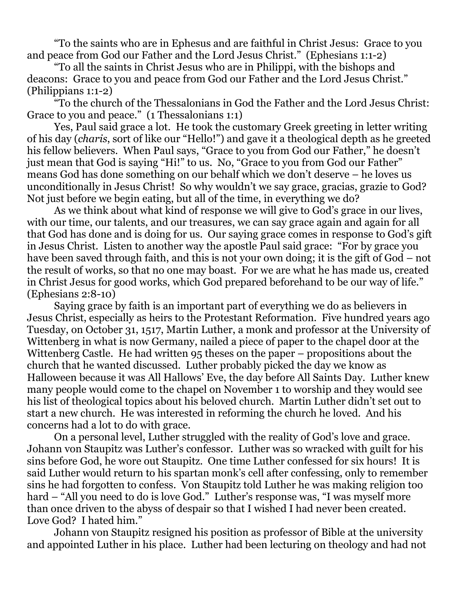"To the saints who are in Ephesus and are faithful in Christ Jesus: Grace to you and peace from God our Father and the Lord Jesus Christ." (Ephesians 1:1-2)

"To all the saints in Christ Jesus who are in Philippi, with the bishops and deacons: Grace to you and peace from God our Father and the Lord Jesus Christ." (Philippians 1:1-2)

"To the church of the Thessalonians in God the Father and the Lord Jesus Christ: Grace to you and peace." (1 Thessalonians 1:1)

Yes, Paul said grace a lot. He took the customary Greek greeting in letter writing of his day (*charis*, sort of like our "Hello!") and gave it a theological depth as he greeted his fellow believers. When Paul says, "Grace to you from God our Father," he doesn't just mean that God is saying "Hi!" to us. No, "Grace to you from God our Father" means God has done something on our behalf which we don't deserve – he loves us unconditionally in Jesus Christ! So why wouldn't we say grace, gracias, grazie to God? Not just before we begin eating, but all of the time, in everything we do?

As we think about what kind of response we will give to God's grace in our lives, with our time, our talents, and our treasures, we can say grace again and again for all that God has done and is doing for us. Our saying grace comes in response to God's gift in Jesus Christ. Listen to another way the apostle Paul said grace: "For by grace you have been saved through faith, and this is not your own doing; it is the gift of God – not the result of works, so that no one may boast. For we are what he has made us, created in Christ Jesus for good works, which God prepared beforehand to be our way of life." (Ephesians 2:8-10)

Saying grace by faith is an important part of everything we do as believers in Jesus Christ, especially as heirs to the Protestant Reformation. Five hundred years ago Tuesday, on October 31, 1517, Martin Luther, a monk and professor at the University of Wittenberg in what is now Germany, nailed a piece of paper to the chapel door at the Wittenberg Castle. He had written 95 theses on the paper – propositions about the church that he wanted discussed. Luther probably picked the day we know as Halloween because it was All Hallows' Eve, the day before All Saints Day. Luther knew many people would come to the chapel on November 1 to worship and they would see his list of theological topics about his beloved church. Martin Luther didn't set out to start a new church. He was interested in reforming the church he loved. And his concerns had a lot to do with grace.

On a personal level, Luther struggled with the reality of God's love and grace. Johann von Staupitz was Luther's confessor. Luther was so wracked with guilt for his sins before God, he wore out Staupitz. One time Luther confessed for six hours! It is said Luther would return to his spartan monk's cell after confessing, only to remember sins he had forgotten to confess. Von Staupitz told Luther he was making religion too hard – "All you need to do is love God." Luther's response was, "I was myself more than once driven to the abyss of despair so that I wished I had never been created. Love God? I hated him."

Johann von Staupitz resigned his position as professor of Bible at the university and appointed Luther in his place. Luther had been lecturing on theology and had not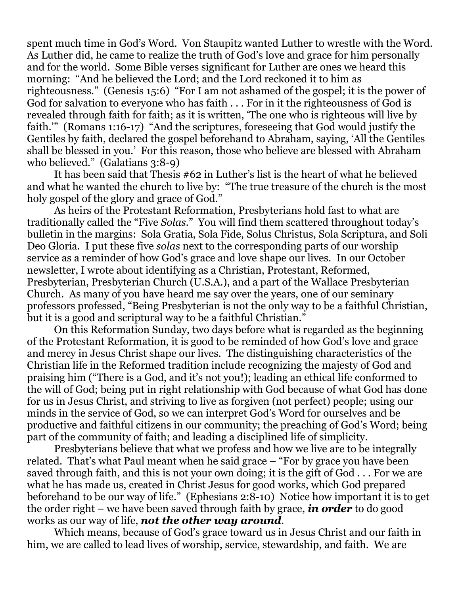spent much time in God's Word. Von Staupitz wanted Luther to wrestle with the Word. As Luther did, he came to realize the truth of God's love and grace for him personally and for the world. Some Bible verses significant for Luther are ones we heard this morning: "And he believed the Lord; and the Lord reckoned it to him as righteousness." (Genesis 15:6) "For I am not ashamed of the gospel; it is the power of God for salvation to everyone who has faith . . . For in it the righteousness of God is revealed through faith for faith; as it is written, 'The one who is righteous will live by faith.'" (Romans 1:16-17) "And the scriptures, foreseeing that God would justify the Gentiles by faith, declared the gospel beforehand to Abraham, saying, 'All the Gentiles shall be blessed in you.' For this reason, those who believe are blessed with Abraham who believed." (Galatians 3:8-9)

It has been said that Thesis #62 in Luther's list is the heart of what he believed and what he wanted the church to live by: "The true treasure of the church is the most holy gospel of the glory and grace of God."

As heirs of the Protestant Reformation, Presbyterians hold fast to what are traditionally called the "Five *Solas*." You will find them scattered throughout today's bulletin in the margins: Sola Gratia, Sola Fide, Solus Christus, Sola Scriptura, and Soli Deo Gloria. I put these five *solas* next to the corresponding parts of our worship service as a reminder of how God's grace and love shape our lives. In our October newsletter, I wrote about identifying as a Christian, Protestant, Reformed, Presbyterian, Presbyterian Church (U.S.A.), and a part of the Wallace Presbyterian Church. As many of you have heard me say over the years, one of our seminary professors professed, "Being Presbyterian is not the only way to be a faithful Christian, but it is a good and scriptural way to be a faithful Christian."

On this Reformation Sunday, two days before what is regarded as the beginning of the Protestant Reformation, it is good to be reminded of how God's love and grace and mercy in Jesus Christ shape our lives. The distinguishing characteristics of the Christian life in the Reformed tradition include recognizing the majesty of God and praising him ("There is a God, and it's not you!); leading an ethical life conformed to the will of God; being put in right relationship with God because of what God has done for us in Jesus Christ, and striving to live as forgiven (not perfect) people; using our minds in the service of God, so we can interpret God's Word for ourselves and be productive and faithful citizens in our community; the preaching of God's Word; being part of the community of faith; and leading a disciplined life of simplicity.

Presbyterians believe that what we profess and how we live are to be integrally related. That's what Paul meant when he said grace – "For by grace you have been saved through faith, and this is not your own doing; it is the gift of God . . . For we are what he has made us, created in Christ Jesus for good works, which God prepared beforehand to be our way of life." (Ephesians 2:8-10) Notice how important it is to get the order right – we have been saved through faith by grace, *in order* to do good works as our way of life, *not the other way around*.

Which means, because of God's grace toward us in Jesus Christ and our faith in him, we are called to lead lives of worship, service, stewardship, and faith. We are